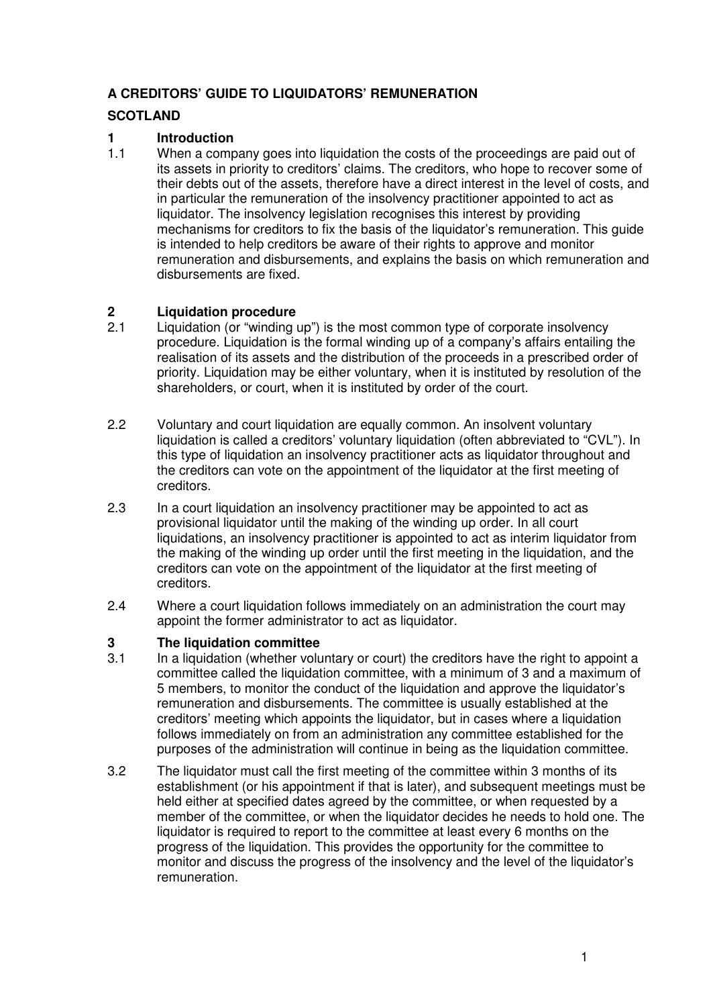#### **A CREDITORS' GUIDE TO LIQUIDATORS' REMUNERATION**

#### **SCOTLAND**

## **1 Introduction**<br>**1.1** When a comm

When a company goes into liquidation the costs of the proceedings are paid out of its assets in priority to creditors' claims. The creditors, who hope to recover some of their debts out of the assets, therefore have a direct interest in the level of costs, and in particular the remuneration of the insolvency practitioner appointed to act as liquidator. The insolvency legislation recognises this interest by providing mechanisms for creditors to fix the basis of the liquidator's remuneration. This guide is intended to help creditors be aware of their rights to approve and monitor remuneration and disbursements, and explains the basis on which remuneration and disbursements are fixed.

## **2 Liquidation procedure**<br> **2.1** Liquidation (or "winding

- Liquidation (or "winding up") is the most common type of corporate insolvency procedure. Liquidation is the formal winding up of a company's affairs entailing the realisation of its assets and the distribution of the proceeds in a prescribed order of priority. Liquidation may be either voluntary, when it is instituted by resolution of the shareholders, or court, when it is instituted by order of the court.
- 2.2 Voluntary and court liquidation are equally common. An insolvent voluntary liquidation is called a creditors' voluntary liquidation (often abbreviated to "CVL"). In this type of liquidation an insolvency practitioner acts as liquidator throughout and the creditors can vote on the appointment of the liquidator at the first meeting of creditors.
- 2.3 In a court liquidation an insolvency practitioner may be appointed to act as provisional liquidator until the making of the winding up order. In all court liquidations, an insolvency practitioner is appointed to act as interim liquidator from the making of the winding up order until the first meeting in the liquidation, and the creditors can vote on the appointment of the liquidator at the first meeting of creditors.
- 2.4 Where a court liquidation follows immediately on an administration the court may appoint the former administrator to act as liquidator.

# **3 The liquidation committee**<br>**3.1** In a liquidation (whether yolu

- In a liquidation (whether voluntary or court) the creditors have the right to appoint a committee called the liquidation committee, with a minimum of 3 and a maximum of 5 members, to monitor the conduct of the liquidation and approve the liquidator's remuneration and disbursements. The committee is usually established at the creditors' meeting which appoints the liquidator, but in cases where a liquidation follows immediately on from an administration any committee established for the purposes of the administration will continue in being as the liquidation committee.
- 3.2 The liquidator must call the first meeting of the committee within 3 months of its establishment (or his appointment if that is later), and subsequent meetings must be held either at specified dates agreed by the committee, or when requested by a member of the committee, or when the liquidator decides he needs to hold one. The liquidator is required to report to the committee at least every 6 months on the progress of the liquidation. This provides the opportunity for the committee to monitor and discuss the progress of the insolvency and the level of the liquidator's remuneration.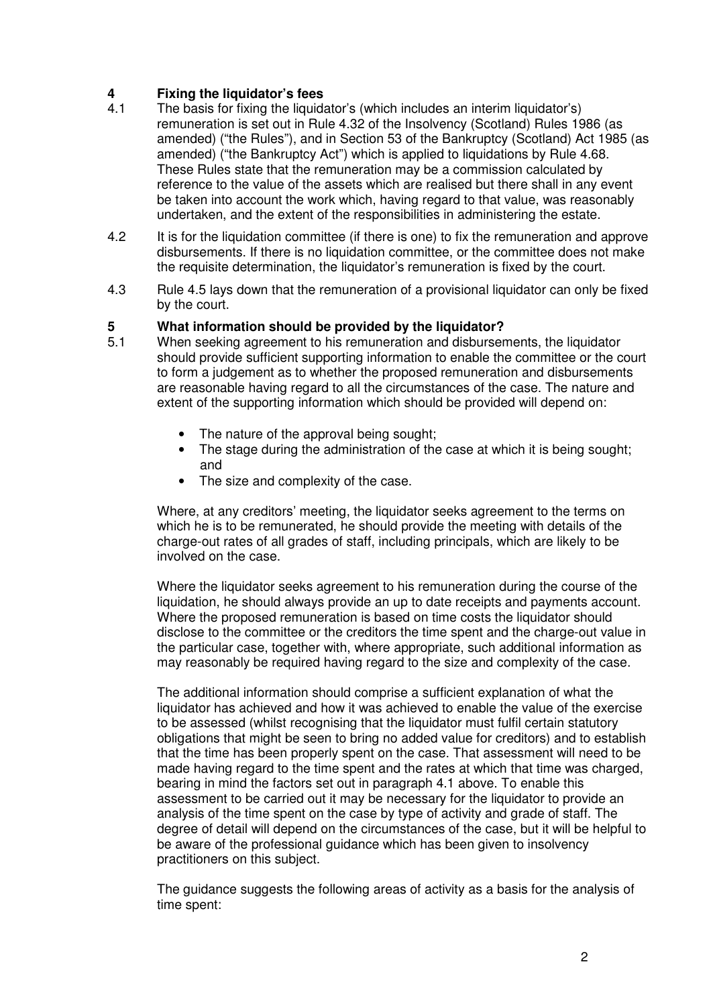# **4 Fixing the liquidator's fees**

- The basis for fixing the liquidator's (which includes an interim liquidator's) remuneration is set out in Rule 4.32 of the Insolvency (Scotland) Rules 1986 (as amended) ("the Rules"), and in Section 53 of the Bankruptcy (Scotland) Act 1985 (as amended) ("the Bankruptcy Act") which is applied to liquidations by Rule 4.68. These Rules state that the remuneration may be a commission calculated by reference to the value of the assets which are realised but there shall in any event be taken into account the work which, having regard to that value, was reasonably undertaken, and the extent of the responsibilities in administering the estate.
- 4.2 It is for the liquidation committee (if there is one) to fix the remuneration and approve disbursements. If there is no liquidation committee, or the committee does not make the requisite determination, the liquidator's remuneration is fixed by the court.
- 4.3 Rule 4.5 lays down that the remuneration of a provisional liquidator can only be fixed by the court.

# **5** What information should be provided by the liquidator?<br>
5.1 When seeking agreement to his remuneration and disburser

- When seeking agreement to his remuneration and disbursements, the liquidator should provide sufficient supporting information to enable the committee or the court to form a judgement as to whether the proposed remuneration and disbursements are reasonable having regard to all the circumstances of the case. The nature and extent of the supporting information which should be provided will depend on:
	- The nature of the approval being sought;
	- The stage during the administration of the case at which it is being sought; and
	- The size and complexity of the case.

Where, at any creditors' meeting, the liquidator seeks agreement to the terms on which he is to be remunerated, he should provide the meeting with details of the charge-out rates of all grades of staff, including principals, which are likely to be involved on the case.

Where the liquidator seeks agreement to his remuneration during the course of the liquidation, he should always provide an up to date receipts and payments account. Where the proposed remuneration is based on time costs the liquidator should disclose to the committee or the creditors the time spent and the charge-out value in the particular case, together with, where appropriate, such additional information as may reasonably be required having regard to the size and complexity of the case.

The additional information should comprise a sufficient explanation of what the liquidator has achieved and how it was achieved to enable the value of the exercise to be assessed (whilst recognising that the liquidator must fulfil certain statutory obligations that might be seen to bring no added value for creditors) and to establish that the time has been properly spent on the case. That assessment will need to be made having regard to the time spent and the rates at which that time was charged, bearing in mind the factors set out in paragraph 4.1 above. To enable this assessment to be carried out it may be necessary for the liquidator to provide an analysis of the time spent on the case by type of activity and grade of staff. The degree of detail will depend on the circumstances of the case, but it will be helpful to be aware of the professional guidance which has been given to insolvency practitioners on this subject.

The guidance suggests the following areas of activity as a basis for the analysis of time spent: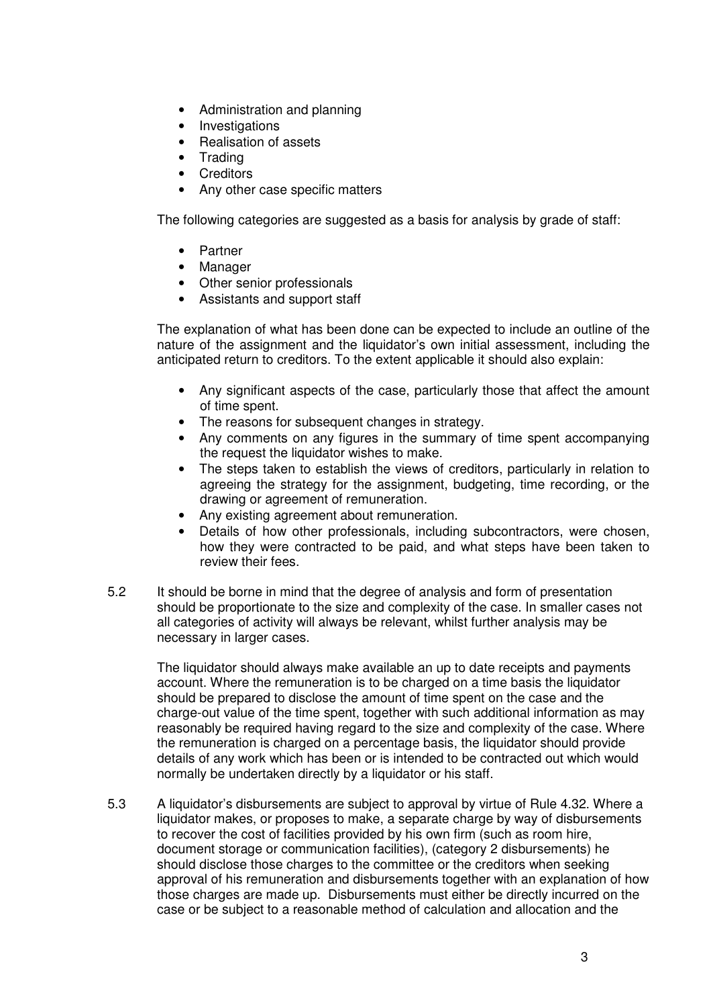- Administration and planning
- Investigations
- Realisation of assets
- Trading
- Creditors
- Any other case specific matters

The following categories are suggested as a basis for analysis by grade of staff:

- Partner
- Manager
- Other senior professionals
- Assistants and support staff

The explanation of what has been done can be expected to include an outline of the nature of the assignment and the liquidator's own initial assessment, including the anticipated return to creditors. To the extent applicable it should also explain:

- Any significant aspects of the case, particularly those that affect the amount of time spent.
- The reasons for subsequent changes in strategy.
- Any comments on any figures in the summary of time spent accompanying the request the liquidator wishes to make.
- The steps taken to establish the views of creditors, particularly in relation to agreeing the strategy for the assignment, budgeting, time recording, or the drawing or agreement of remuneration.
- Any existing agreement about remuneration.
- Details of how other professionals, including subcontractors, were chosen, how they were contracted to be paid, and what steps have been taken to review their fees.
- 5.2 It should be borne in mind that the degree of analysis and form of presentation should be proportionate to the size and complexity of the case. In smaller cases not all categories of activity will always be relevant, whilst further analysis may be necessary in larger cases.

The liquidator should always make available an up to date receipts and payments account. Where the remuneration is to be charged on a time basis the liquidator should be prepared to disclose the amount of time spent on the case and the charge-out value of the time spent, together with such additional information as may reasonably be required having regard to the size and complexity of the case. Where the remuneration is charged on a percentage basis, the liquidator should provide details of any work which has been or is intended to be contracted out which would normally be undertaken directly by a liquidator or his staff.

5.3 A liquidator's disbursements are subject to approval by virtue of Rule 4.32. Where a liquidator makes, or proposes to make, a separate charge by way of disbursements to recover the cost of facilities provided by his own firm (such as room hire, document storage or communication facilities), (category 2 disbursements) he should disclose those charges to the committee or the creditors when seeking approval of his remuneration and disbursements together with an explanation of how those charges are made up. Disbursements must either be directly incurred on the case or be subject to a reasonable method of calculation and allocation and the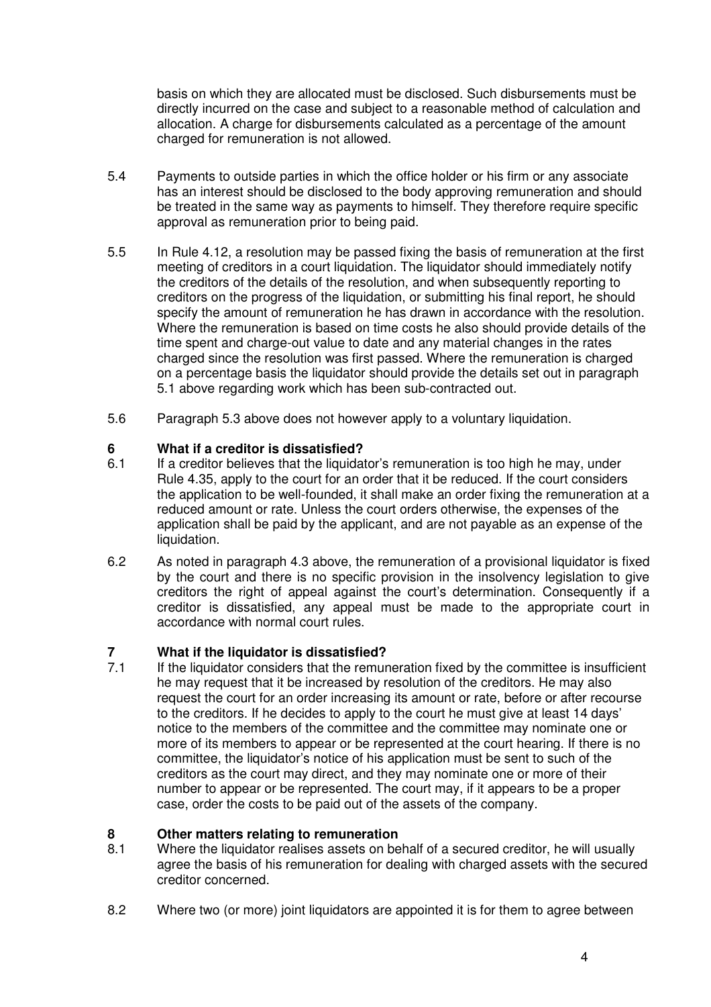basis on which they are allocated must be disclosed. Such disbursements must be directly incurred on the case and subject to a reasonable method of calculation and allocation. A charge for disbursements calculated as a percentage of the amount charged for remuneration is not allowed.

- 5.4 Payments to outside parties in which the office holder or his firm or any associate has an interest should be disclosed to the body approving remuneration and should be treated in the same way as payments to himself. They therefore require specific approval as remuneration prior to being paid.
- 5.5 In Rule 4.12, a resolution may be passed fixing the basis of remuneration at the first meeting of creditors in a court liquidation. The liquidator should immediately notify the creditors of the details of the resolution, and when subsequently reporting to creditors on the progress of the liquidation, or submitting his final report, he should specify the amount of remuneration he has drawn in accordance with the resolution. Where the remuneration is based on time costs he also should provide details of the time spent and charge-out value to date and any material changes in the rates charged since the resolution was first passed. Where the remuneration is charged on a percentage basis the liquidator should provide the details set out in paragraph 5.1 above regarding work which has been sub-contracted out.
- 5.6 Paragraph 5.3 above does not however apply to a voluntary liquidation.

#### **6 What if a creditor is dissatisfied?**

- 6.1 If a creditor believes that the liquidator's remuneration is too high he may, under Rule 4.35, apply to the court for an order that it be reduced. If the court considers the application to be well-founded, it shall make an order fixing the remuneration at a reduced amount or rate. Unless the court orders otherwise, the expenses of the application shall be paid by the applicant, and are not payable as an expense of the liquidation.
- 6.2 As noted in paragraph 4.3 above, the remuneration of a provisional liquidator is fixed by the court and there is no specific provision in the insolvency legislation to give creditors the right of appeal against the court's determination. Consequently if a creditor is dissatisfied, any appeal must be made to the appropriate court in accordance with normal court rules.

## **7** What if the liquidator is dissatisfied?<br> **7.1** If the liquidator considers that the remur

If the liquidator considers that the remuneration fixed by the committee is insufficient he may request that it be increased by resolution of the creditors. He may also request the court for an order increasing its amount or rate, before or after recourse to the creditors. If he decides to apply to the court he must give at least 14 days' notice to the members of the committee and the committee may nominate one or more of its members to appear or be represented at the court hearing. If there is no committee, the liquidator's notice of his application must be sent to such of the creditors as the court may direct, and they may nominate one or more of their number to appear or be represented. The court may, if it appears to be a proper case, order the costs to be paid out of the assets of the company.

### **8 Other matters relating to remuneration**<br>**8.1** Where the liquidator realises assets on be

- Where the liquidator realises assets on behalf of a secured creditor, he will usually agree the basis of his remuneration for dealing with charged assets with the secured creditor concerned.
- 8.2 Where two (or more) joint liquidators are appointed it is for them to agree between